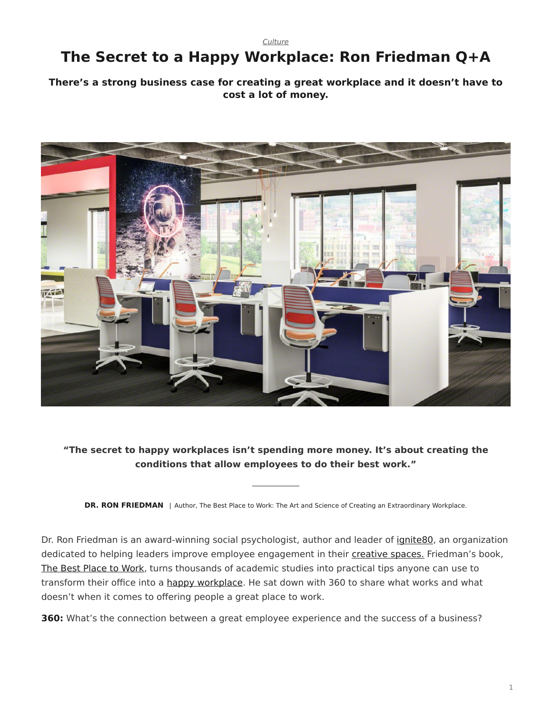*[Culture](https://www.steelcase.com/research/topics/culture/)*

# <span id="page-0-0"></span>**The Secret to a Happy Workplace: Ron Friedman Q+A**

#### **There's a strong business case for creating a great workplace and it doesn't have to cost a lot of money.**



### **"The secret to happy workplaces isn't spending more money. It's about creating the conditions that allow employees to do their best work."**

**DR. RON FRIEDMAN** | Author, The Best Place to Work: The Art and Science of Creating an Extraordinary Workplace.

Dr. Ron Friedman is an award-winning social psychologist, author and leader of [ignite80,](https://www.ignite80.com/) an organization dedicated to helping leaders improve employee engagement in their [creative spaces.](https://www.steelcase.com/microsoft-steelcase/creativity/) Friedman's book, [The Best Place to Work,](https://www.amazon.com/Best-Place-Work-Extraordinary-Workplace/dp/0399165606) turns thousands of academic studies into practical tips anyone can use to transform their office into a [happy workplace](https://www.steelcase.com/research/articles/topics/wellbeing/boosting-workplace-wellbeing/). He sat down with 360 to share what works and what doesn't when it comes to offering people a great place to work.

**360:** What's the connection between a great employee experience and the success of a business?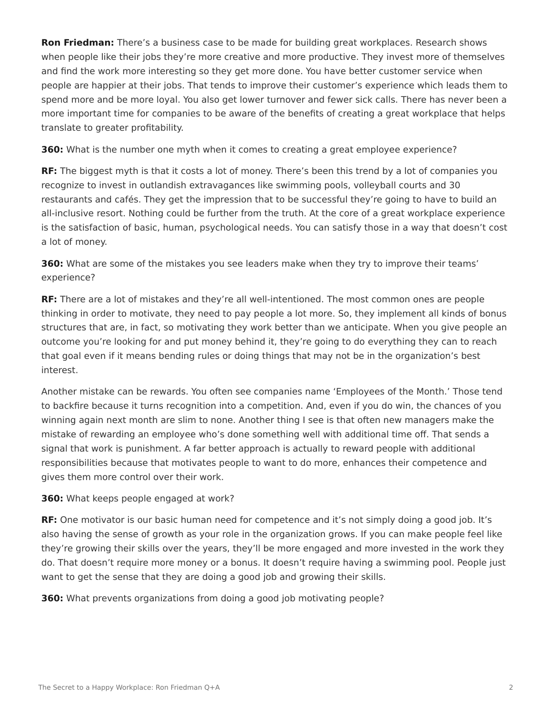**Ron Friedman:** There's a business case to be made for building great workplaces. Research shows when people like their jobs they're more creative and more productive. They invest more of themselves and find the work more interesting so they get more done. You have better customer service when people are happier at their jobs. That tends to improve their customer's experience which leads them to spend more and be more loyal. You also get lower turnover and fewer sick calls. There has never been a more important time for companies to be aware of the benefits of creating a great workplace that helps translate to greater profitability.

**360:** What is the number one myth when it comes to creating a great employee experience?

**RF:** The biggest myth is that it costs a lot of money. There's been this trend by a lot of companies you recognize to invest in outlandish extravagances like swimming pools, volleyball courts and 30 restaurants and cafés. They get the impression that to be successful they're going to have to build an all-inclusive resort. Nothing could be further from the truth. At the core of a great workplace experience is the satisfaction of basic, human, psychological needs. You can satisfy those in a way that doesn't cost a lot of money.

**360:** What are some of the mistakes you see leaders make when they try to improve their teams' experience?

**RF:** There are a lot of mistakes and they're all well-intentioned. The most common ones are people thinking in order to motivate, they need to pay people a lot more. So, they implement all kinds of bonus structures that are, in fact, so motivating they work better than we anticipate. When you give people an outcome you're looking for and put money behind it, they're going to do everything they can to reach that goal even if it means bending rules or doing things that may not be in the organization's best interest.

Another mistake can be rewards. You often see companies name 'Employees of the Month.' Those tend to backfire because it turns recognition into a competition. And, even if you do win, the chances of you winning again next month are slim to none. Another thing I see is that often new managers make the mistake of rewarding an employee who's done something well with additional time off. That sends a signal that work is punishment. A far better approach is actually to reward people with additional responsibilities because that motivates people to want to do more, enhances their competence and gives them more control over their work.

#### **360:** What keeps people engaged at work?

**RF:** One motivator is our basic human need for competence and it's not simply doing a good job. It's also having the sense of growth as your role in the organization grows. If you can make people feel like they're growing their skills over the years, they'll be more engaged and more invested in the work they do. That doesn't require more money or a bonus. It doesn't require having a swimming pool. People just want to get the sense that they are doing a good job and growing their skills.

**360:** What prevents organizations from doing a good job motivating people?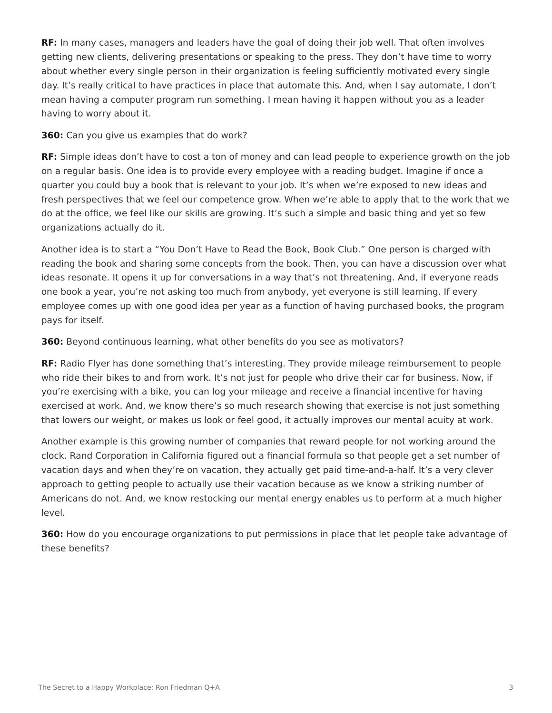**RF:** In many cases, managers and leaders have the goal of doing their job well. That often involves getting new clients, delivering presentations or speaking to the press. They don't have time to worry about whether every single person in their organization is feeling sufficiently motivated every single day. It's really critical to have practices in place that automate this. And, when I say automate, I don't mean having a computer program run something. I mean having it happen without you as a leader having to worry about it.

**360:** Can you give us examples that do work?

**RF:** Simple ideas don't have to cost a ton of money and can lead people to experience growth on the job on a regular basis. One idea is to provide every employee with a reading budget. Imagine if once a quarter you could buy a book that is relevant to your job. It's when we're exposed to new ideas and fresh perspectives that we feel our competence grow. When we're able to apply that to the work that we do at the office, we feel like our skills are growing. It's such a simple and basic thing and yet so few organizations actually do it.

Another idea is to start a "You Don't Have to Read the Book, Book Club." One person is charged with reading the book and sharing some concepts from the book. Then, you can have a discussion over what ideas resonate. It opens it up for conversations in a way that's not threatening. And, if everyone reads one book a year, you're not asking too much from anybody, yet everyone is still learning. If every employee comes up with one good idea per year as a function of having purchased books, the program pays for itself.

**360:** Beyond continuous learning, what other benefits do you see as motivators?

**RF:** Radio Flyer has done something that's interesting. They provide mileage reimbursement to people who ride their bikes to and from work. It's not just for people who drive their car for business. Now, if you're exercising with a bike, you can log your mileage and receive a financial incentive for having exercised at work. And, we know there's so much research showing that exercise is not just something that lowers our weight, or makes us look or feel good, it actually improves our mental acuity at work.

Another example is this growing number of companies that reward people for not working around the clock. Rand Corporation in California figured out a financial formula so that people get a set number of vacation days and when they're on vacation, they actually get paid time-and-a-half. It's a very clever approach to getting people to actually use their vacation because as we know a striking number of Americans do not. And, we know restocking our mental energy enables us to perform at a much higher level.

**360:** How do you encourage organizations to put permissions in place that let people take advantage of these benefits?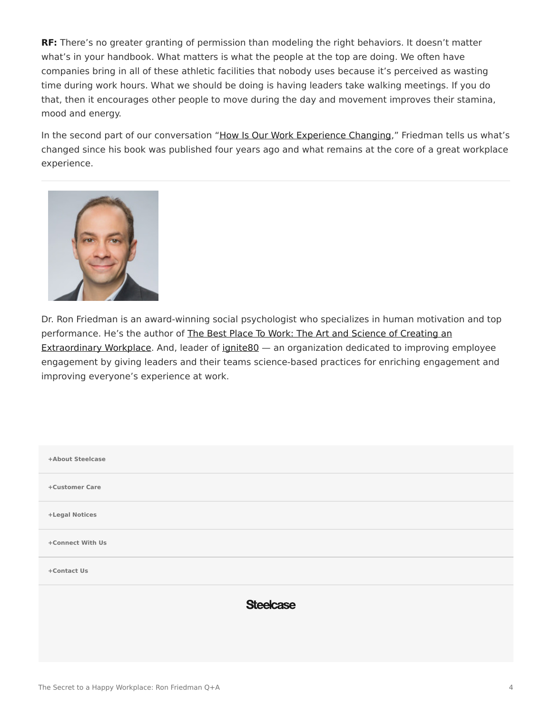**RF:** There's no greater granting of permission than modeling the right behaviors. It doesn't matter what's in your handbook. What matters is what the people at the top are doing. We often have companies bring in all of these athletic facilities that nobody uses because it's perceived as wasting time during work hours. What we should be doing is having leaders take walking meetings. If you do that, then it encourages other people to move during the day and movement improves their stamina, mood and energy.

In the second part of our conversation "[How Is Our Work Experience Changing](https://www.steelcase.com/research/articles/work-experience-changing/)," Friedman tells us what's changed since his book was published four years ago and what remains at the core of a great workplace experience.



Dr. Ron Friedman is an award-winning social psychologist who specializes in human motivation and top performance. He's the author of [The Best Place To Work: The Art and Science of Creating an](https://www.amazon.com/Best-Place-Work-Extraordinary-Workplace/dp/0399165606) [Extraordinary Workplace.](https://www.amazon.com/Best-Place-Work-Extraordinary-Workplace/dp/0399165606) And, leader of ignite 80 – an organization dedicated to improving employee engagement by giving leaders and their teams science-based practices for enriching engagement and improving everyone's experience at work.

| +About Steelcase |                  |
|------------------|------------------|
| +Customer Care   |                  |
| +Legal Notices   |                  |
| +Connect With Us |                  |
| +Contact Us      |                  |
|                  | <b>Steelcase</b> |
|                  |                  |